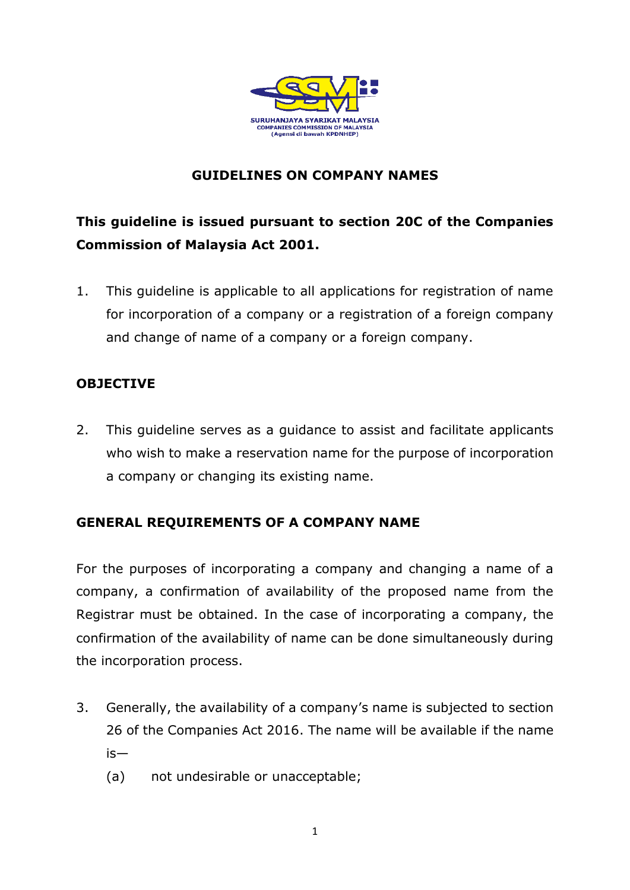

# **GUIDELINES ON COMPANY NAMES**

# **This guideline is issued pursuant to section 20C of the Companies Commission of Malaysia Act 2001.**

1. This guideline is applicable to all applications for registration of name for incorporation of a company or a registration of a foreign company and change of name of a company or a foreign company.

## **OBJECTIVE**

2. This guideline serves as a guidance to assist and facilitate applicants who wish to make a reservation name for the purpose of incorporation a company or changing its existing name.

# **GENERAL REQUIREMENTS OF A COMPANY NAME**

For the purposes of incorporating a company and changing a name of a company, a confirmation of availability of the proposed name from the Registrar must be obtained. In the case of incorporating a company, the confirmation of the availability of name can be done simultaneously during the incorporation process.

- 3. Generally, the availability of a company's name is subjected to section 26 of the Companies Act 2016. The name will be available if the name is—
	- (a) not undesirable or unacceptable;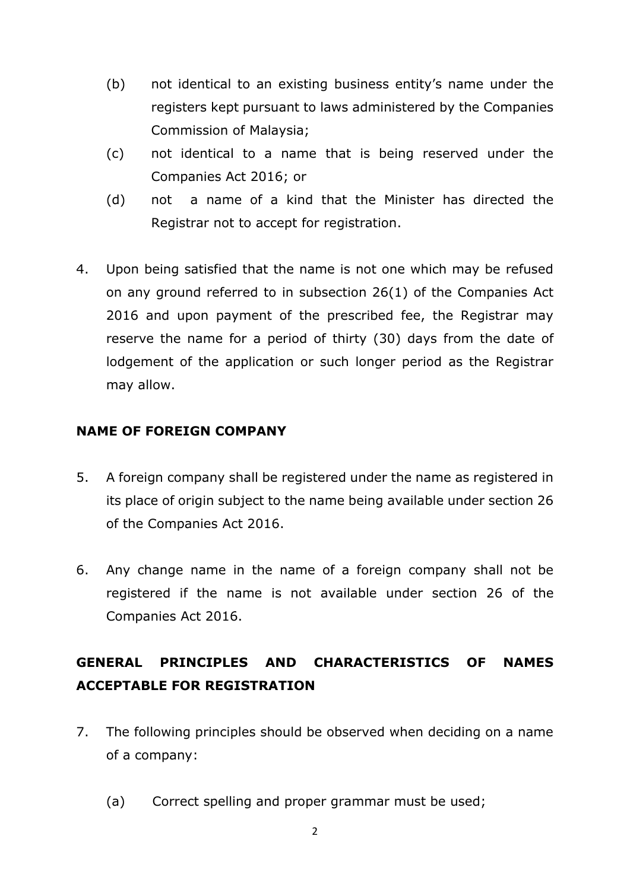- (b) not identical to an existing business entity's name under the registers kept pursuant to laws administered by the Companies Commission of Malaysia;
- (c) not identical to a name that is being reserved under the Companies Act 2016; or
- (d) not a name of a kind that the Minister has directed the Registrar not to accept for registration.
- 4. Upon being satisfied that the name is not one which may be refused on any ground referred to in subsection 26(1) of the Companies Act 2016 and upon payment of the prescribed fee, the Registrar may reserve the name for a period of thirty (30) days from the date of lodgement of the application or such longer period as the Registrar may allow.

## **NAME OF FOREIGN COMPANY**

- 5. A foreign company shall be registered under the name as registered in its place of origin subject to the name being available under section 26 of the Companies Act 2016.
- 6. Any change name in the name of a foreign company shall not be registered if the name is not available under section 26 of the Companies Act 2016.

# **GENERAL PRINCIPLES AND CHARACTERISTICS OF NAMES ACCEPTABLE FOR REGISTRATION**

- 7. The following principles should be observed when deciding on a name of a company:
	- (a) Correct spelling and proper grammar must be used;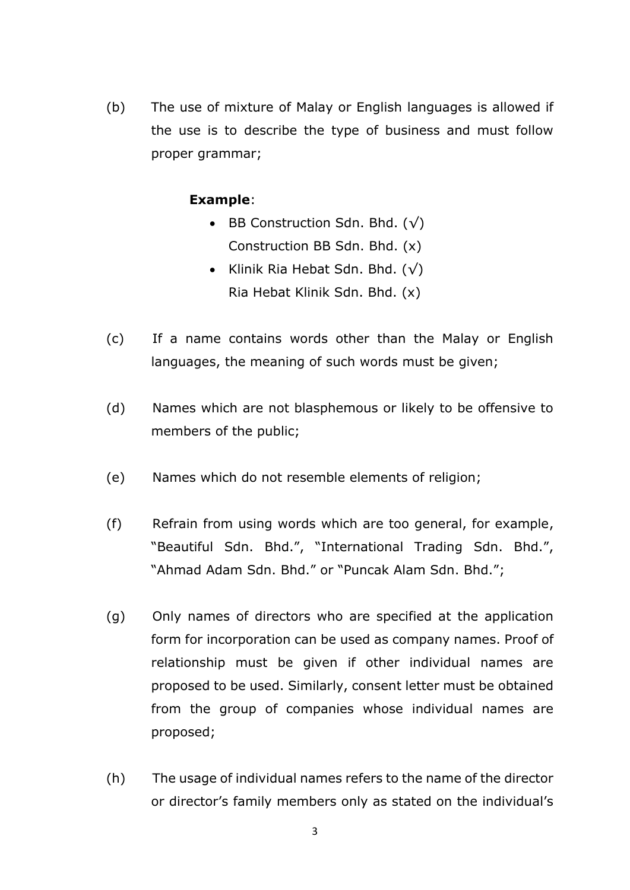(b) The use of mixture of Malay or English languages is allowed if the use is to describe the type of business and must follow proper grammar;

## **Example**:

- BB Construction Sdn. Bhd.  $(\sqrt)$ Construction BB Sdn. Bhd. (x)
- Klinik Ria Hebat Sdn. Bhd.  $(\sqrt)$ Ria Hebat Klinik Sdn. Bhd. (x)
- (c) If a name contains words other than the Malay or English languages, the meaning of such words must be given;
- (d) Names which are not blasphemous or likely to be offensive to members of the public;
- (e) Names which do not resemble elements of religion;
- (f) Refrain from using words which are too general, for example, "Beautiful Sdn. Bhd.", "International Trading Sdn. Bhd.", "Ahmad Adam Sdn. Bhd." or "Puncak Alam Sdn. Bhd.";
- (g) Only names of directors who are specified at the application form for incorporation can be used as company names. Proof of relationship must be given if other individual names are proposed to be used. Similarly, consent letter must be obtained from the group of companies whose individual names are proposed;
- (h) The usage of individual names refers to the name of the director or director's family members only as stated on the individual's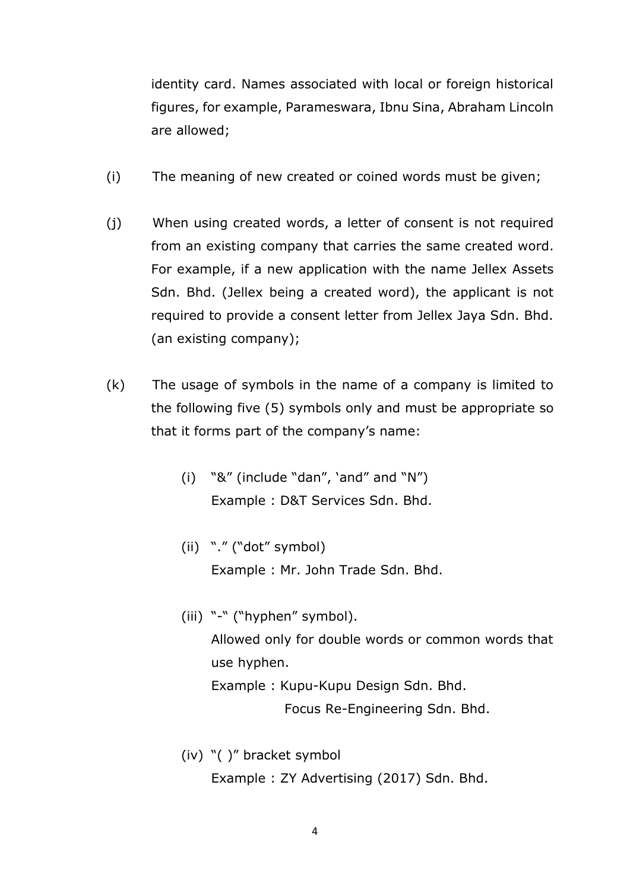identity card. Names associated with local or foreign historical figures, for example, Parameswara, Ibnu Sina, Abraham Lincoln are allowed;

- (i) The meaning of new created or coined words must be given;
- (j) When using created words, a letter of consent is not required from an existing company that carries the same created word. For example, if a new application with the name Jellex Assets Sdn. Bhd. (Jellex being a created word), the applicant is not required to provide a consent letter from Jellex Jaya Sdn. Bhd. (an existing company);
- (k) The usage of symbols in the name of a company is limited to the following five (5) symbols only and must be appropriate so that it forms part of the company's name:
	- (i) "&" (include "dan", 'and" and "N") Example : D&T Services Sdn. Bhd.
	- (ii) "." ("dot" symbol) Example : Mr. John Trade Sdn. Bhd.
	- (iii) "-" ("hyphen" symbol). Allowed only for double words or common words that use hyphen. Example : Kupu-Kupu Design Sdn. Bhd. Focus Re-Engineering Sdn. Bhd.
	- (iv) "( )" bracket symbol Example : ZY Advertising (2017) Sdn. Bhd.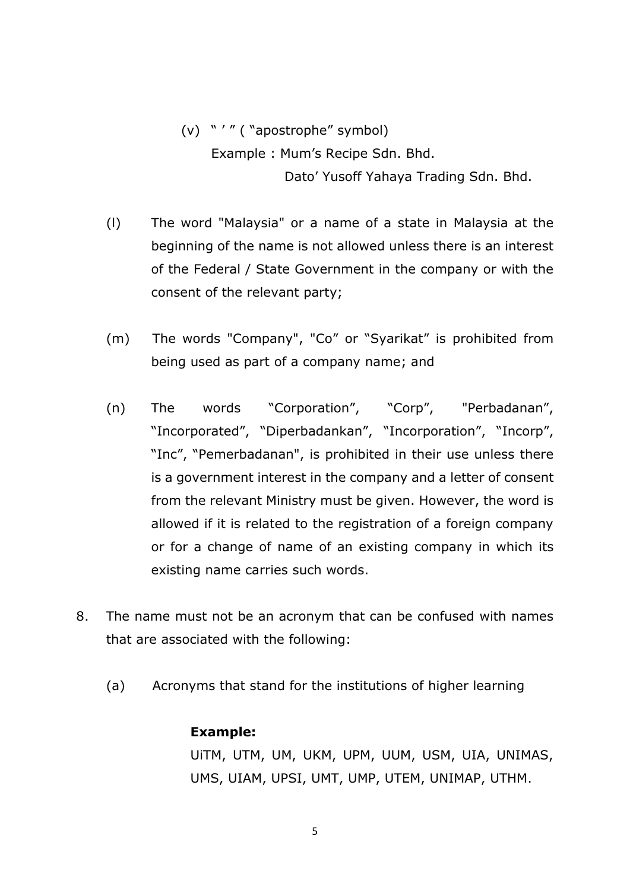(v) " ' " ( "apostrophe" symbol) Example : Mum's Recipe Sdn. Bhd. Dato' Yusoff Yahaya Trading Sdn. Bhd.

- (l) The word "Malaysia" or a name of a state in Malaysia at the beginning of the name is not allowed unless there is an interest of the Federal / State Government in the company or with the consent of the relevant party;
- (m) The words "Company", "Co" or "Syarikat" is prohibited from being used as part of a company name; and
- (n) The words "Corporation", "Corp", "Perbadanan", "Incorporated", "Diperbadankan", "Incorporation", "Incorp", "Inc", "Pemerbadanan", is prohibited in their use unless there is a government interest in the company and a letter of consent from the relevant Ministry must be given. However, the word is allowed if it is related to the registration of a foreign company or for a change of name of an existing company in which its existing name carries such words.
- 8. The name must not be an acronym that can be confused with names that are associated with the following:
	- (a) Acronyms that stand for the institutions of higher learning

#### **Example:**

UiTM, UTM, UM, UKM, UPM, UUM, USM, UIA, UNIMAS, UMS, UIAM, UPSI, UMT, UMP, UTEM, UNIMAP, UTHM.

5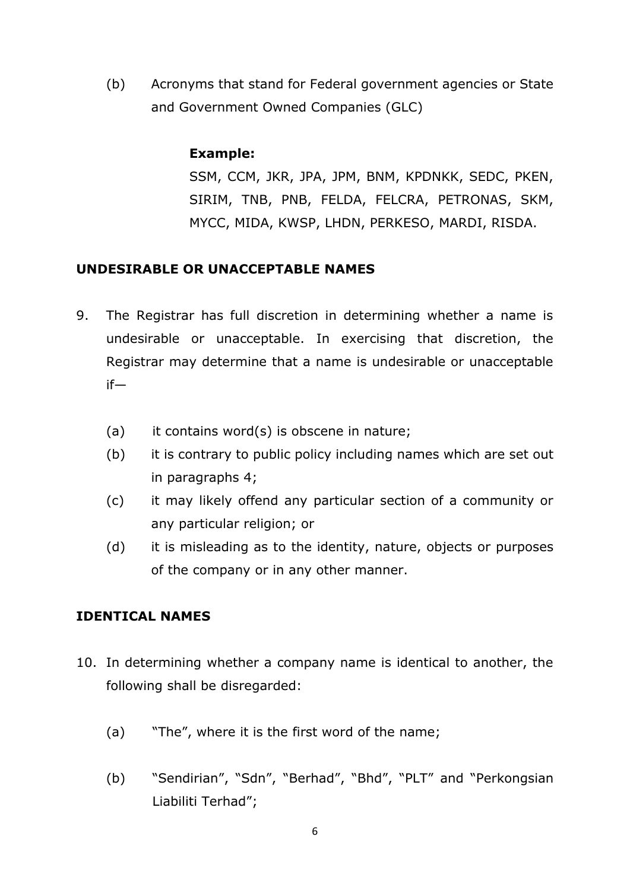(b) Acronyms that stand for Federal government agencies or State and Government Owned Companies (GLC)

## **Example:**

SSM, CCM, JKR, JPA, JPM, BNM, KPDNKK, SEDC, PKEN, SIRIM, TNB, PNB, FELDA, FELCRA, PETRONAS, SKM, MYCC, MIDA, KWSP, LHDN, PERKESO, MARDI, RISDA.

# **UNDESIRABLE OR UNACCEPTABLE NAMES**

- 9. The Registrar has full discretion in determining whether a name is undesirable or unacceptable. In exercising that discretion, the Registrar may determine that a name is undesirable or unacceptable if—
	- (a) it contains word(s) is obscene in nature;
	- (b) it is contrary to public policy including names which are set out in paragraphs 4;
	- (c) it may likely offend any particular section of a community or any particular religion; or
	- (d) it is misleading as to the identity, nature, objects or purposes of the company or in any other manner.

# **IDENTICAL NAMES**

- 10. In determining whether a company name is identical to another, the following shall be disregarded:
	- (a) "The", where it is the first word of the name;
	- (b) "Sendirian", "Sdn", "Berhad", "Bhd", "PLT" and "Perkongsian Liabiliti Terhad";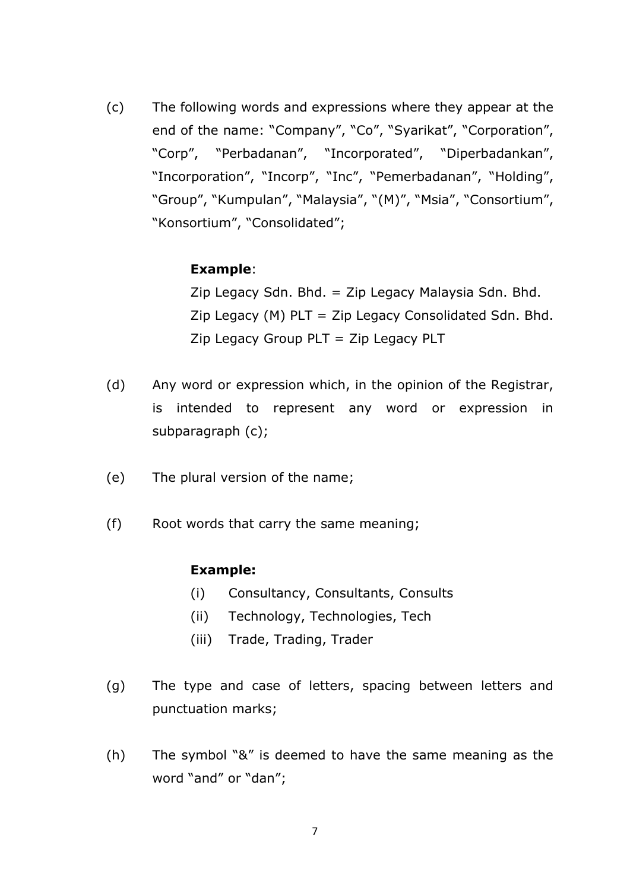(c) The following words and expressions where they appear at the end of the name: "Company", "Co", "Syarikat", "Corporation", "Corp", "Perbadanan", "Incorporated", "Diperbadankan", "Incorporation", "Incorp", "Inc", "Pemerbadanan", "Holding", "Group", "Kumpulan", "Malaysia", "(M)", "Msia", "Consortium", "Konsortium", "Consolidated";

### **Example**:

Zip Legacy Sdn. Bhd. = Zip Legacy Malaysia Sdn. Bhd. Zip Legacy (M)  $PLT = Zip$  Legacy Consolidated Sdn. Bhd. Zip Legacy Group PLT = Zip Legacy PLT

- (d) Any word or expression which, in the opinion of the Registrar, is intended to represent any word or expression in subparagraph (c);
- (e) The plural version of the name;
- (f) Root words that carry the same meaning;

#### **Example:**

- (i) Consultancy, Consultants, Consults
- (ii) Technology, Technologies, Tech
- (iii) Trade, Trading, Trader
- (g) The type and case of letters, spacing between letters and punctuation marks;
- (h) The symbol "&" is deemed to have the same meaning as the word "and" or "dan";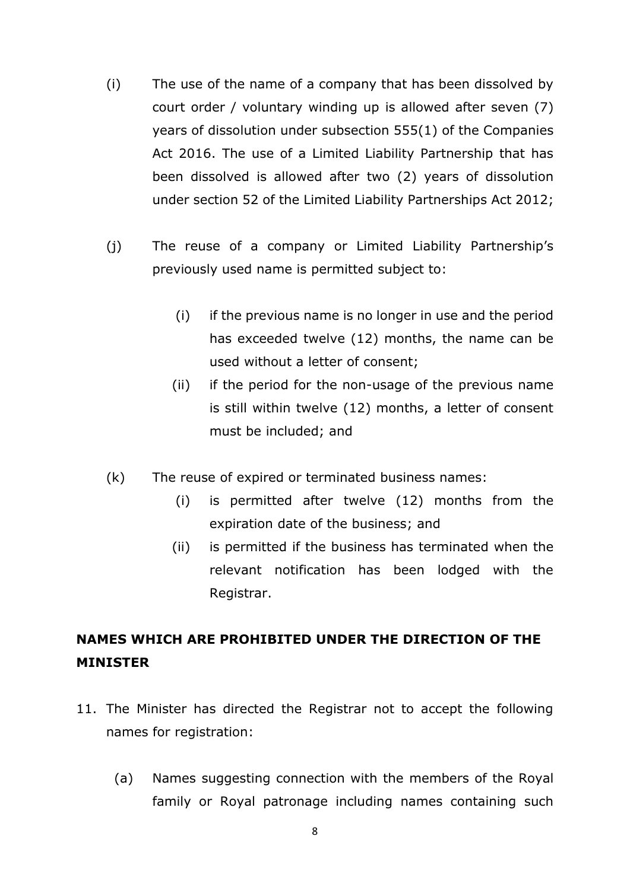- (i) The use of the name of a company that has been dissolved by court order / voluntary winding up is allowed after seven (7) years of dissolution under subsection 555(1) of the Companies Act 2016. The use of a Limited Liability Partnership that has been dissolved is allowed after two (2) years of dissolution under section 52 of the Limited Liability Partnerships Act 2012;
- (j) The reuse of a company or Limited Liability Partnership's previously used name is permitted subject to:
	- (i) if the previous name is no longer in use and the period has exceeded twelve (12) months, the name can be used without a letter of consent;
	- (ii) if the period for the non-usage of the previous name is still within twelve (12) months, a letter of consent must be included; and
- (k) The reuse of expired or terminated business names:
	- (i) is permitted after twelve (12) months from the expiration date of the business; and
	- (ii) is permitted if the business has terminated when the relevant notification has been lodged with the Registrar.

# **NAMES WHICH ARE PROHIBITED UNDER THE DIRECTION OF THE MINISTER**

- 11. The Minister has directed the Registrar not to accept the following names for registration:
	- (a) Names suggesting connection with the members of the Royal family or Royal patronage including names containing such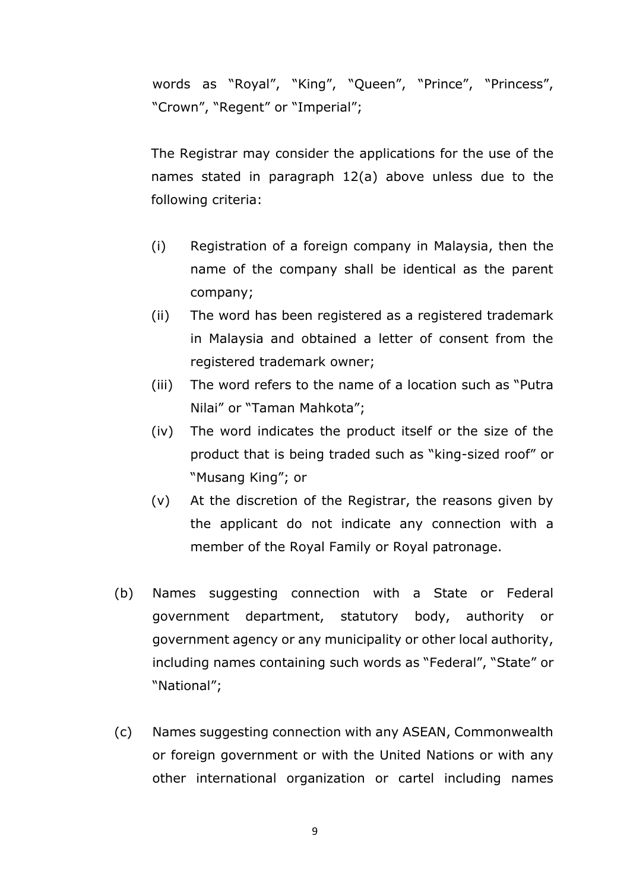words as "Royal", "King", "Queen", "Prince", "Princess", "Crown", "Regent" or "Imperial";

The Registrar may consider the applications for the use of the names stated in paragraph 12(a) above unless due to the following criteria:

- (i) Registration of a foreign company in Malaysia, then the name of the company shall be identical as the parent company;
- (ii) The word has been registered as a registered trademark in Malaysia and obtained a letter of consent from the registered trademark owner;
- (iii) The word refers to the name of a location such as "Putra Nilai" or "Taman Mahkota";
- (iv) The word indicates the product itself or the size of the product that is being traded such as "king-sized roof" or "Musang King"; or
- (v) At the discretion of the Registrar, the reasons given by the applicant do not indicate any connection with a member of the Royal Family or Royal patronage.
- (b) Names suggesting connection with a State or Federal government department, statutory body, authority or government agency or any municipality or other local authority, including names containing such words as "Federal", "State" or "National";
- (c) Names suggesting connection with any ASEAN, Commonwealth or foreign government or with the United Nations or with any other international organization or cartel including names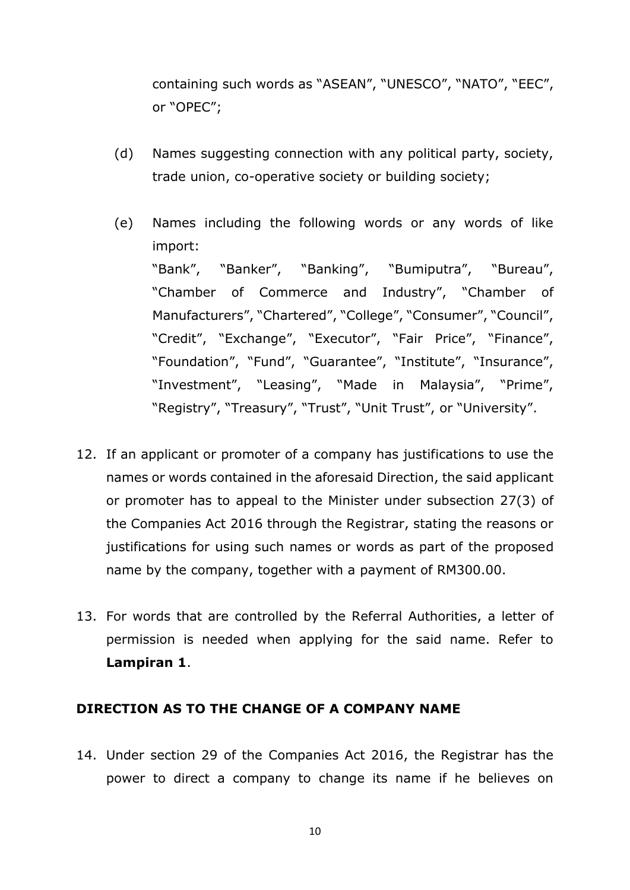containing such words as "ASEAN", "UNESCO", "NATO", "EEC", or "OPEC";

- (d) Names suggesting connection with any political party, society, trade union, co-operative society or building society;
- (e) Names including the following words or any words of like import: "Bank", "Banker", "Banking", "Bumiputra", "Bureau", "Chamber of Commerce and Industry", "Chamber of Manufacturers", "Chartered", "College", "Consumer", "Council", "Credit", "Exchange", "Executor", "Fair Price", "Finance", "Foundation", "Fund", "Guarantee", "Institute", "Insurance", "Investment", "Leasing", "Made in Malaysia", "Prime", "Registry", "Treasury", "Trust", "Unit Trust", or "University".
- 12. If an applicant or promoter of a company has justifications to use the names or words contained in the aforesaid Direction, the said applicant or promoter has to appeal to the Minister under subsection 27(3) of the Companies Act 2016 through the Registrar, stating the reasons or justifications for using such names or words as part of the proposed name by the company, together with a payment of RM300.00.
- 13. For words that are controlled by the Referral Authorities, a letter of permission is needed when applying for the said name. Refer to **Lampiran 1**.

### **DIRECTION AS TO THE CHANGE OF A COMPANY NAME**

14. Under section 29 of the Companies Act 2016, the Registrar has the power to direct a company to change its name if he believes on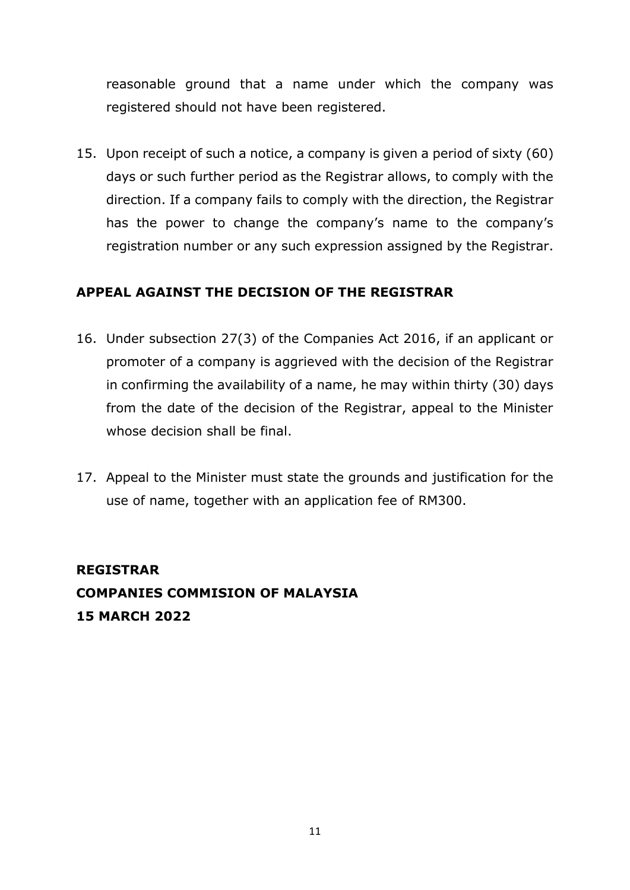reasonable ground that a name under which the company was registered should not have been registered.

15. Upon receipt of such a notice, a company is given a period of sixty (60) days or such further period as the Registrar allows, to comply with the direction. If a company fails to comply with the direction, the Registrar has the power to change the company's name to the company's registration number or any such expression assigned by the Registrar.

# **APPEAL AGAINST THE DECISION OF THE REGISTRAR**

- 16. Under subsection 27(3) of the Companies Act 2016, if an applicant or promoter of a company is aggrieved with the decision of the Registrar in confirming the availability of a name, he may within thirty (30) days from the date of the decision of the Registrar, appeal to the Minister whose decision shall be final.
- 17. Appeal to the Minister must state the grounds and justification for the use of name, together with an application fee of RM300.

# **REGISTRAR COMPANIES COMMISION OF MALAYSIA 15 MARCH 2022**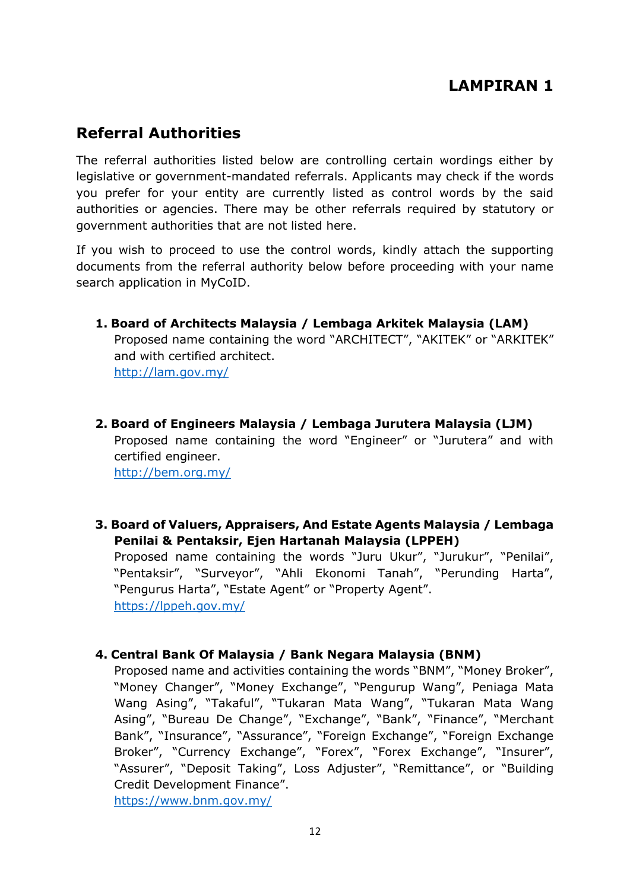# **LAMPIRAN 1**

# **Referral Authorities**

The referral authorities listed below are controlling certain wordings either by legislative or government-mandated referrals. Applicants may check if the words you prefer for your entity are currently listed as control words by the said authorities or agencies. There may be other referrals required by statutory or government authorities that are not listed here.

If you wish to proceed to use the control words, kindly attach the supporting documents from the referral authority below before proceeding with your name search application in MyCoID.

- **1. Board of Architects Malaysia / Lembaga Arkitek Malaysia (LAM)** Proposed name containing the word "ARCHITECT", "AKITEK" or "ARKITEK" and with certified architect. <http://lam.gov.my/>
- **2. Board of Engineers Malaysia / Lembaga Jurutera Malaysia (LJM)** Proposed name containing the word "Engineer" or "Jurutera" and with certified engineer. <http://bem.org.my/>
- **3. Board of Valuers, Appraisers, And Estate Agents Malaysia / Lembaga Penilai & Pentaksir, Ejen Hartanah Malaysia (LPPEH)**

Proposed name containing the words "Juru Ukur", "Jurukur", "Penilai", "Pentaksir", "Surveyor", "Ahli Ekonomi Tanah", "Perunding Harta", "Pengurus Harta", "Estate Agent" or "Property Agent". <https://lppeh.gov.my/>

### **4. Central Bank Of Malaysia / Bank Negara Malaysia (BNM)**

Proposed name and activities containing the words "BNM", "Money Broker", "Money Changer", "Money Exchange", "Pengurup Wang", Peniaga Mata Wang Asing", "Takaful", "Tukaran Mata Wang", "Tukaran Mata Wang Asing", "Bureau De Change", "Exchange", "Bank", "Finance", "Merchant Bank", "Insurance", "Assurance", "Foreign Exchange", "Foreign Exchange Broker", "Currency Exchange", "Forex", "Forex Exchange", "Insurer", "Assurer", "Deposit Taking", Loss Adjuster", "Remittance", or "Building Credit Development Finance".

<https://www.bnm.gov.my/>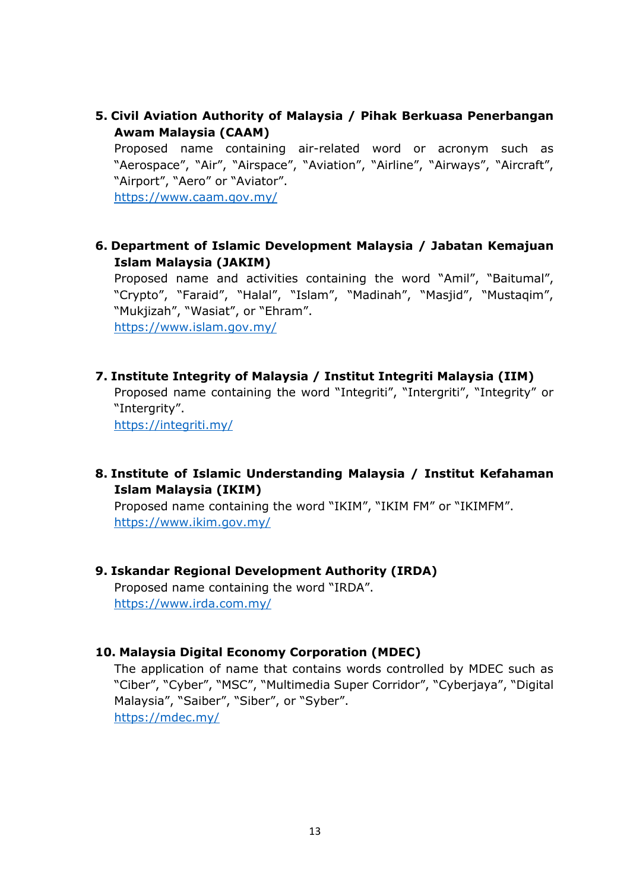**5. Civil Aviation Authority of Malaysia / Pihak Berkuasa Penerbangan Awam Malaysia (CAAM)**

Proposed name containing air-related word or acronym such as "Aerospace", "Air", "Airspace", "Aviation", "Airline", "Airways", "Aircraft", "Airport", "Aero" or "Aviator".

<https://www.caam.gov.my/>

**6. Department of Islamic Development Malaysia / Jabatan Kemajuan Islam Malaysia (JAKIM)**

Proposed name and activities containing the word "Amil", "Baitumal", "Crypto", "Faraid", "Halal", "Islam", "Madinah", "Masjid", "Mustaqim", "Mukjizah", "Wasiat", or "Ehram". <https://www.islam.gov.my/>

**7. Institute Integrity of Malaysia / Institut Integriti Malaysia (IIM)**

Proposed name containing the word "Integriti", "Intergriti", "Integrity" or "Intergrity".

<https://integriti.my/>

#### **8. Institute of Islamic Understanding Malaysia / Institut Kefahaman Islam Malaysia (IKIM)**

Proposed name containing the word "IKIM", "IKIM FM" or "IKIMFM". <https://www.ikim.gov.my/>

#### **9. Iskandar Regional Development Authority (IRDA)**

Proposed name containing the word "IRDA". <https://www.irda.com.my/>

#### **10. Malaysia Digital Economy Corporation (MDEC)**

The application of name that contains words controlled by MDEC such as "Ciber", "Cyber", "MSC", "Multimedia Super Corridor", "Cyberjaya", "Digital Malaysia", "Saiber", "Siber", or "Syber". <https://mdec.my/>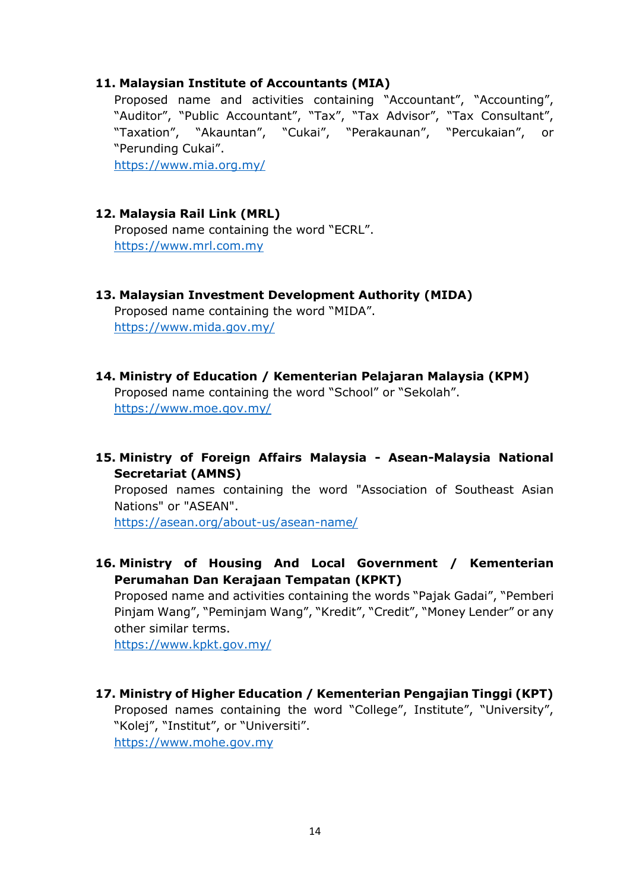#### **11. Malaysian Institute of Accountants (MIA)**

Proposed name and activities containing "Accountant", "Accounting", "Auditor", "Public Accountant", "Tax", "Tax Advisor", "Tax Consultant", "Taxation", "Akauntan", "Cukai", "Perakaunan", "Percukaian", or "Perunding Cukai".

<https://www.mia.org.my/>

### **12. Malaysia Rail Link (MRL)**

Proposed name containing the word "ECRL". [https://www.mrl.com.my](https://www.mrl.com.my/)

### **13. Malaysian Investment Development Authority (MIDA)**

Proposed name containing the word "MIDA". <https://www.mida.gov.my/>

**14. Ministry of Education / Kementerian Pelajaran Malaysia (KPM)** Proposed name containing the word "School" or "Sekolah". <https://www.moe.gov.my/>

### **15. Ministry of Foreign Affairs Malaysia - Asean-Malaysia National Secretariat (AMNS)**

Proposed names containing the word "Association of Southeast Asian Nations" or "ASEAN".

<https://asean.org/about-us/asean-name/>

### **16. Ministry of Housing And Local Government / Kementerian Perumahan Dan Kerajaan Tempatan (KPKT)**

Proposed name and activities containing the words "Pajak Gadai", "Pemberi Pinjam Wang", "Peminjam Wang", "Kredit", "Credit", "Money Lender" or any other similar terms.

<https://www.kpkt.gov.my/>

### **17. Ministry of Higher Education / Kementerian Pengajian Tinggi (KPT)**

Proposed names containing the word "College", Institute", "University", "Kolej", "Institut", or "Universiti".

[https://www.mohe.gov.my](https://www.mohe.gov.my/)